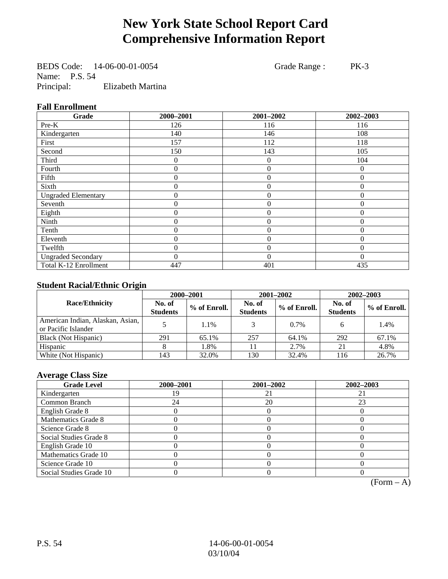# **New York State School Report Card Comprehensive Information Report**

BEDS Code: 14-06-00-01-0054 Grade Range : PK-3 Name: P.S. 54 Principal: Elizabeth Martina

#### **Fall Enrollment**

| Grade                      | 2000-2001        | 2001-2002        | 2002-2003 |
|----------------------------|------------------|------------------|-----------|
| Pre-K                      | 126              | 116              | 116       |
| Kindergarten               | 140              | 146              | 108       |
| First                      | 157              | 112              | 118       |
| Second                     | 150              | 143              | 105       |
| Third                      | 0                | 0                | 104       |
| Fourth                     | 0                | $\overline{0}$   | $\theta$  |
| Fifth                      | 0                | $\theta$         | $\Omega$  |
| Sixth                      | 0                | $\overline{0}$   | $\Omega$  |
| <b>Ungraded Elementary</b> | $\boldsymbol{0}$ | $\mathbf{0}$     | $\theta$  |
| Seventh                    | $\boldsymbol{0}$ | $\mathbf{0}$     | $\theta$  |
| Eighth                     | $\boldsymbol{0}$ | $\overline{0}$   | $\Omega$  |
| Ninth                      | 0                | $\overline{0}$   | $\Omega$  |
| Tenth                      | 0                | $\boldsymbol{0}$ | $\theta$  |
| Eleventh                   | 0                | $\overline{0}$   | $\theta$  |
| Twelfth                    | 0                | $\overline{0}$   | $\theta$  |
| <b>Ungraded Secondary</b>  | $\theta$         | $\theta$         | $\theta$  |
| Total K-12 Enrollment      | 447              | 401              | 435       |

#### **Student Racial/Ethnic Origin**

|                                                         | 2000-2001                 |              |                           | 2001-2002    | 2002-2003                 |                |
|---------------------------------------------------------|---------------------------|--------------|---------------------------|--------------|---------------------------|----------------|
| <b>Race/Ethnicity</b>                                   | No. of<br><b>Students</b> | % of Enroll. | No. of<br><b>Students</b> | % of Enroll. | No. of<br><b>Students</b> | $%$ of Enroll. |
| American Indian, Alaskan, Asian,<br>or Pacific Islander |                           | 1.1%         |                           | $0.7\%$      |                           | 1.4%           |
| Black (Not Hispanic)                                    | 291                       | 65.1%        | 257                       | 64.1%        | 292                       | 67.1%          |
| Hispanic                                                |                           | 1.8%         |                           | 2.7%         | 21                        | 4.8%           |
| White (Not Hispanic)                                    | 143                       | 32.0%        | 130                       | 32.4%        | 116                       | 26.7%          |

#### **Average Class Size**

| <b>Grade Level</b>      | 2000-2001 | 2001-2002 | 2002-2003 |
|-------------------------|-----------|-----------|-----------|
| Kindergarten            |           | 21        |           |
| Common Branch           | 24        | 20        | 23        |
| English Grade 8         |           |           |           |
| Mathematics Grade 8     |           |           |           |
| Science Grade 8         |           |           |           |
| Social Studies Grade 8  |           |           |           |
| English Grade 10        |           |           |           |
| Mathematics Grade 10    |           |           |           |
| Science Grade 10        |           |           |           |
| Social Studies Grade 10 |           |           |           |

 $(Form – A)$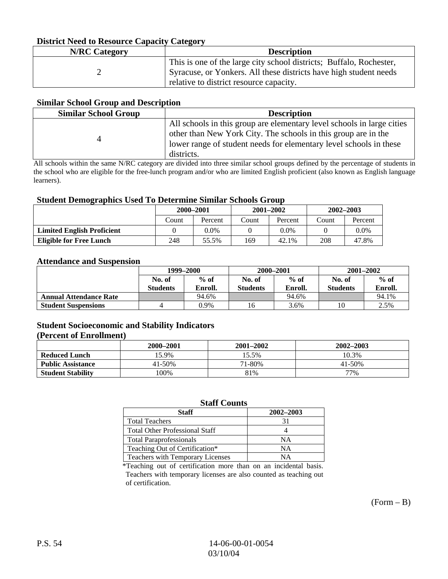### **District Need to Resource Capacity Category**

| <b>N/RC</b> Category | <b>Description</b>                                                                                                                                                                  |
|----------------------|-------------------------------------------------------------------------------------------------------------------------------------------------------------------------------------|
|                      | This is one of the large city school districts; Buffalo, Rochester,<br>Syracuse, or Yonkers. All these districts have high student needs<br>relative to district resource capacity. |

#### **Similar School Group and Description**

| <b>Similar School Group</b> | <b>Description</b>                                                                                                                                                                                                           |
|-----------------------------|------------------------------------------------------------------------------------------------------------------------------------------------------------------------------------------------------------------------------|
|                             | All schools in this group are elementary level schools in large cities<br>other than New York City. The schools in this group are in the<br>lower range of student needs for elementary level schools in these<br>districts. |

All schools within the same N/RC category are divided into three similar school groups defined by the percentage of students in the school who are eligible for the free-lunch program and/or who are limited English proficient (also known as English language learners).

#### **Student Demographics Used To Determine Similar Schools Group**

|                                   | 2000-2001 |         | $2001 - 2002$ |         | $2002 - 2003$ |         |
|-----------------------------------|-----------|---------|---------------|---------|---------------|---------|
|                                   | Count     | Percent | Count         | Percent | Count         | Percent |
| <b>Limited English Proficient</b> |           | 0.0%    |               | 0.0%    |               | $0.0\%$ |
| Eligible for Free Lunch           | 248       | 55.5%   | 169           | 42.1%   | 208           | 47.8%   |

#### **Attendance and Suspension**

|                               | 1999–2000                 |                   | 2000-2001                 |                   | $2001 - 2002$             |                   |
|-------------------------------|---------------------------|-------------------|---------------------------|-------------------|---------------------------|-------------------|
|                               | No. of<br><b>Students</b> | $%$ of<br>Enroll. | No. of<br><b>Students</b> | $%$ of<br>Enroll. | No. of<br><b>Students</b> | $%$ of<br>Enroll. |
| <b>Annual Attendance Rate</b> |                           | 94.6%             |                           | 94.6%             |                           | 94.1%             |
| <b>Student Suspensions</b>    |                           | 0.9%              |                           | 3.6%              |                           | 2.5%              |

### **Student Socioeconomic and Stability Indicators**

#### **(Percent of Enrollment)**

|                          | 2000–2001 | 2001-2002 | 2002-2003  |
|--------------------------|-----------|-----------|------------|
| <b>Reduced Lunch</b>     | 5.9%      | 15.5%     | 10.3%      |
| <b>Public Assistance</b> | 41-50%    | 71-80%    | $41 - 50%$ |
| <b>Student Stability</b> | $00\%$    | 81%       | 77%        |

#### **Staff Counts**

| <b>Staff</b>                          | 2002–2003 |
|---------------------------------------|-----------|
| <b>Total Teachers</b>                 | 31        |
| <b>Total Other Professional Staff</b> |           |
| <b>Total Paraprofessionals</b>        | NΑ        |
| Teaching Out of Certification*        | NΑ        |
| Teachers with Temporary Licenses      | NА        |

\*Teaching out of certification more than on an incidental basis. Teachers with temporary licenses are also counted as teaching out of certification.

 $(Form - B)$